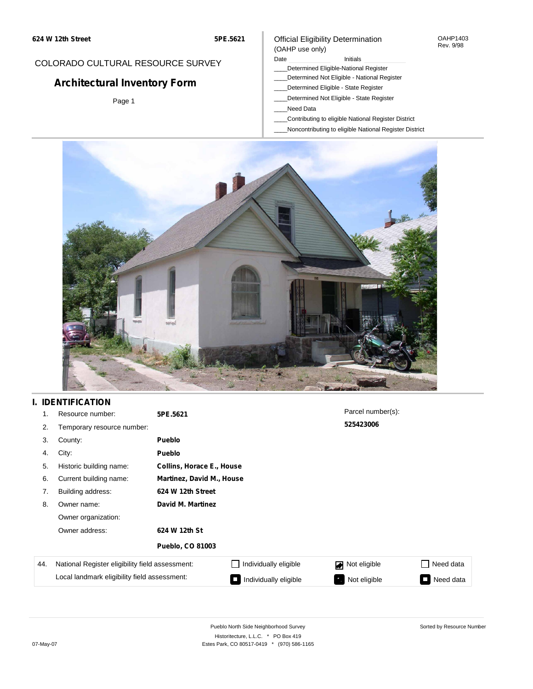#### OAHP1403 Rev. 9/98

## COLORADO CULTURAL RESOURCE SURVEY

# **Architectural Inventory Form**

Page 1

#### (OAHP use only) Date **Initials** Initials

Official Eligibility Determination

- \_\_\_\_Determined Eligible-National Register
- \_\_\_\_Determined Not Eligible National Register
- \_\_\_\_Determined Eligible State Register
- \_\_\_\_Determined Not Eligible State Register
- \_\_\_\_Need Data
- \_\_\_\_Contributing to eligible National Register District
- \_\_\_\_Noncontributing to eligible National Register District



## **I. IDENTIFICATION**

| 1.  | Resource number:                                                                                | 5PE.5621                         |                              | Parcel number(s): |           |
|-----|-------------------------------------------------------------------------------------------------|----------------------------------|------------------------------|-------------------|-----------|
| 2.  | Temporary resource number:                                                                      |                                  |                              | 525423006         |           |
| 3.  | County:                                                                                         | <b>Pueblo</b>                    |                              |                   |           |
| 4.  | City:                                                                                           | <b>Pueblo</b>                    |                              |                   |           |
| 5.  | Historic building name:                                                                         | <b>Collins, Horace E., House</b> |                              |                   |           |
| 6.  | Current building name:                                                                          | <b>Martinez, David M., House</b> |                              |                   |           |
| 7.  | Building address:                                                                               | 624 W 12th Street                |                              |                   |           |
| 8.  | Owner name:                                                                                     | David M. Martinez                |                              |                   |           |
|     | Owner organization:                                                                             |                                  |                              |                   |           |
|     | Owner address:                                                                                  | 624 W 12th St                    |                              |                   |           |
|     |                                                                                                 | <b>Pueblo, CO 81003</b>          |                              |                   |           |
| 44. | National Register eligibility field assessment:<br>Local landmark eligibility field assessment: |                                  | $\Box$ Individually eligible | Not eligible      | Need data |
|     |                                                                                                 |                                  | Individually eligible        | Not eligible      | Need data |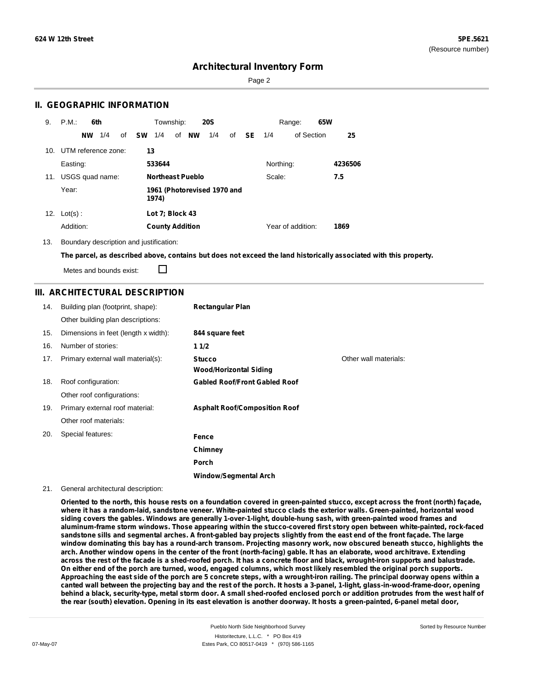Page 2

### **II. GEOGRAPHIC INFORMATION**

| 9.  | P.M.<br>6th            | Township:<br><b>20S</b>                          | 65W<br>Range:             |         |
|-----|------------------------|--------------------------------------------------|---------------------------|---------|
|     | 1/4<br><b>NW</b><br>of | 1/4<br><b>NW</b><br>1/4<br><b>SW</b><br>of<br>of | - SE<br>of Section<br>1/4 | 25      |
| 10. | UTM reference zone:    | 13                                               |                           |         |
|     | Easting:               | 533644                                           | Northing:                 | 4236506 |
| 11. | USGS quad name:        | <b>Northeast Pueblo</b>                          | Scale:                    | 7.5     |
|     | Year:                  | 1961 (Photorevised 1970 and<br>1974)             |                           |         |
| 12. | $Lot(s)$ :             | Lot 7; Block 43                                  |                           |         |
|     | Addition:              | <b>County Addition</b>                           | Year of addition:         | 1869    |

13. Boundary description and justification:

The parcel, as described above, contains but does not exceed the land historically associated with this property.

Metes and bounds exist:

П

### **III. ARCHITECTURAL DESCRIPTION**

| 14. | Building plan (footprint, shape):    | <b>Rectangular Plan</b>                        |                       |
|-----|--------------------------------------|------------------------------------------------|-----------------------|
|     | Other building plan descriptions:    |                                                |                       |
| 15. | Dimensions in feet (length x width): | 844 square feet                                |                       |
| 16. | Number of stories:                   | 11/2                                           |                       |
| 17. | Primary external wall material(s):   | <b>Stucco</b><br><b>Wood/Horizontal Siding</b> | Other wall materials: |
| 18. | Roof configuration:                  | <b>Gabled Roof/Front Gabled Roof</b>           |                       |
|     | Other roof configurations:           |                                                |                       |
| 19. | Primary external roof material:      | <b>Asphalt Roof/Composition Roof</b>           |                       |
|     | Other roof materials:                |                                                |                       |
| 20. | Special features:                    | Fence                                          |                       |
|     |                                      | Chimney                                        |                       |
|     |                                      | <b>Porch</b>                                   |                       |
|     |                                      | Window/Seamental Arch                          |                       |

#### 21. General architectural description:

Oriented to the north, this house rests on a foundation covered in green-painted stucco, except across the front (north) façade, where it has a random-laid, sandstone veneer. White-painted stucco clads the exterior walls. Green-painted, horizontal wood **siding covers the gables. Windows are generally 1-over-1-light, double-hung sash, with green-painted wood frames and aluminum-frame storm windows. Those appearing within the stucco-covered first story open between white-painted, rock-faced** sandstone sills and segmental arches. A front-gabled bay projects slightly from the east end of the front façade. The large window dominating this bay has a round-arch transom. Projecting masonry work, now obscured beneath stucco, highlights the arch. Another window opens in the center of the front (north-facing) gable. It has an elaborate, wood architrave. Extending across the rest of the facade is a shed-roofed porch. It has a concrete floor and black, wrought-iron supports and balustrade. On either end of the porch are turned, wood, engaged columns, which most likely resembled the original porch supports. Approaching the east side of the porch are 5 concrete steps, with a wrought-iron railing. The principal doorway opens within a canted wall between the projecting bay and the rest of the porch. It hosts a 3-panel, 1-light, glass-in-wood-frame-door, opening behind a black, security-type, metal storm door. A small shed-roofed enclosed porch or addition protrudes from the west half of the rear (south) elevation. Opening in its east elevation is another doorway. It hosts a green-painted, 6-panel metal door,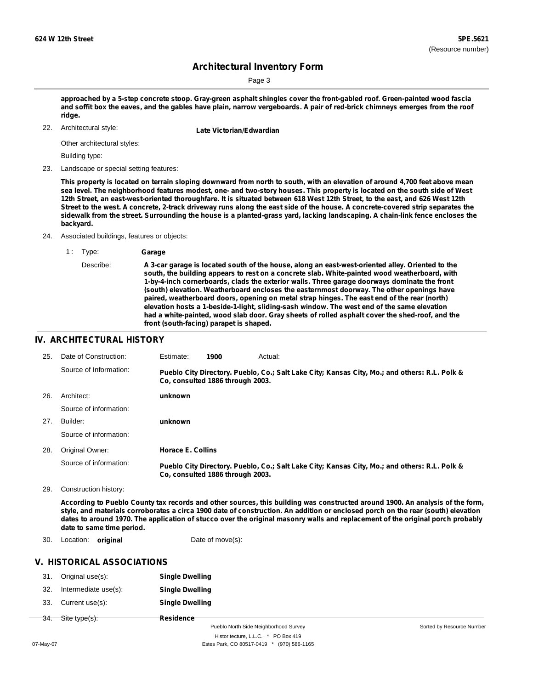Page 3

approached by a 5-step concrete stoop. Gray-green asphalt shingles cover the front-gabled roof. Green-painted wood fascia and soffit box the eaves, and the gables have plain, narrow vergeboards. A pair of red-brick chimneys emerges from the roof **ridge.**

Architectural style:

22. **Late Victorian/Edwardian**

Other architectural styles:

Building type:

23. Landscape or special setting features:

This property is located on terrain sloping downward from north to south, with an elevation of around 4,700 feet above mean sea level. The neighborhood features modest, one- and two-story houses. This property is located on the south side of West 12th Street, an east-west-oriented thoroughfare. It is situated between 618 West 12th Street, to the east, and 626 West 12th Street to the west. A concrete, 2-track driveway runs along the east side of the house. A concrete-covered strip separates the sidewalk from the street. Surrounding the house is a planted-grass yard, lacking landscaping. A chain-link fence encloses the **backyard.**

24. Associated buildings, features or objects:

Describe: **A 3-car garage is located south of the house, along an east-west-oriented alley. Oriented to the south, the building appears to rest on a concrete slab. White-painted wood weatherboard, with 1-by-4-inch cornerboards, clads the exterior walls. Three garage doorways dominate the front (south) elevation. Weatherboard encloses the easternmost doorway. The other openings have paired, weatherboard doors, opening on metal strap hinges. The east end of the rear (north) elevation hosts a 1-beside-1-light, sliding-sash window. The west end of the same elevation had a white-painted, wood slab door. Gray sheets of rolled asphalt cover the shed-roof, and the front (south-facing) parapet is shaped.**

#### **IV. ARCHITECTURAL HISTORY**

| 25. | Date of Construction:  | Estimate:                | 1900                             | Actual:                                                                                       |
|-----|------------------------|--------------------------|----------------------------------|-----------------------------------------------------------------------------------------------|
|     | Source of Information: |                          | Co. consulted 1886 through 2003. | Pueblo City Directory. Pueblo, Co.; Salt Lake City; Kansas City, Mo.; and others: R.L. Polk & |
| 26. | Architect:             | unknown                  |                                  |                                                                                               |
|     | Source of information: |                          |                                  |                                                                                               |
| 27. | Builder:               | unknown                  |                                  |                                                                                               |
|     | Source of information: |                          |                                  |                                                                                               |
| 28. | Original Owner:        | <b>Horace E. Collins</b> |                                  |                                                                                               |
|     | Source of information: |                          | Co. consulted 1886 through 2003. | Pueblo City Directory. Pueblo, Co.; Salt Lake City; Kansas City, Mo.; and others: R.L. Polk & |

29. Construction history:

According to Pueblo County tax records and other sources, this building was constructed around 1900. An analysis of the form, style, and materials corroborates a circa 1900 date of construction. An addition or enclosed porch on the rear (south) elevation dates to around 1970. The application of stucco over the original masonry walls and replacement of the original porch probably **date to same time period.**

30. Location: **original Date of move(s):** 

### **V. HISTORICAL ASSOCIATIONS**

|     | 31. Original use(s): | <b>Single Dwelling</b> |
|-----|----------------------|------------------------|
| 32. | Intermediate use(s): | <b>Single Dwelling</b> |
|     | 33. Current use(s):  | <b>Single Dwelling</b> |
| 34. | Site type(s):        | Residence              |

Pueblo North Side Neighborhood Survey Historitecture, L.L.C. \* PO Box 419

<sup>1</sup> : Type: **Garage**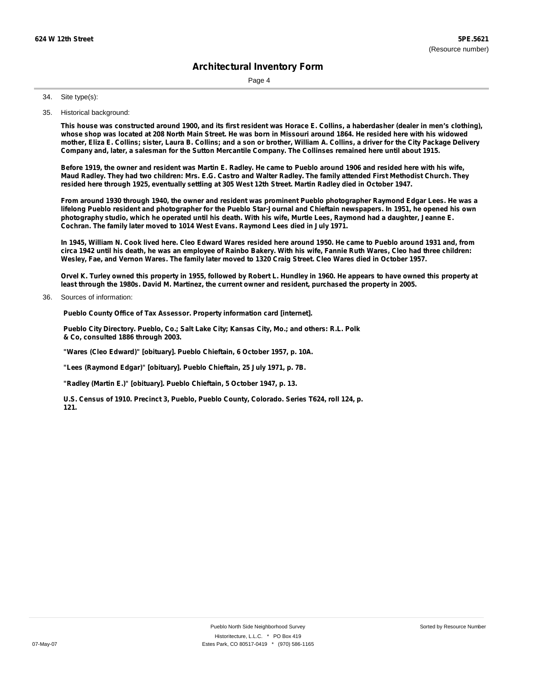Page 4

Site type(s): 34.

35. Historical background:

This house was constructed around 1900, and its first resident was Horace E. Collins, a haberdasher (dealer in men's clothing), whose shop was located at 208 North Main Street. He was born in Missouri around 1864. He resided here with his widowed mother, Eliza E. Collins; sister, Laura B. Collins; and a son or brother, William A. Collins, a driver for the City Package Delivery Company and, later, a salesman for the Sutton Mercantile Company. The Collinses remained here until about 1915.

Before 1919, the owner and resident was Martin E. Radley. He came to Pueblo around 1906 and resided here with his wife, Maud Radley. They had two children: Mrs. E.G. Castro and Walter Radley. The family attended First Methodist Church. They resided here through 1925, eventually settling at 305 West 12th Street. Martin Radley died in October 1947.

From around 1930 through 1940, the owner and resident was prominent Pueblo photographer Raymond Edgar Lees. He was a lifelong Pueblo resident and photographer for the Pueblo Star-Journal and Chieftain newspapers. In 1951, he opened his own photography studio, which he operated until his death. With his wife, Murtle Lees, Raymond had a daughter, Jeanne E. **Cochran. The family later moved to 1014 West Evans. Raymond Lees died in July 1971.**

In 1945, William N. Cook lived here. Cleo Edward Wares resided here around 1950. He came to Pueblo around 1931 and, from circa 1942 until his death, he was an employee of Rainbo Bakery. With his wife, Fannie Ruth Wares, Cleo had three children: Wesley, Fae, and Vernon Wares. The family later moved to 1320 Craig Street. Cleo Wares died in October 1957.

Orvel K. Turley owned this property in 1955, followed by Robert L. Hundley in 1960. He appears to have owned this property at least through the 1980s. David M. Martinez, the current owner and resident, purchased the property in 2005.

Sources of information: 36.

**Pueblo County Office of Tax Assessor. Property information card [internet].**

**Pueblo City Directory. Pueblo, Co.; Salt Lake City; Kansas City, Mo.; and others: R.L. Polk & Co, consulted 1886 through 2003.**

**"Wares (Cleo Edward)" [obituary]. Pueblo Chieftain, 6 October 1957, p. 10A.**

**"Lees (Raymond Edgar)" [obituary]. Pueblo Chieftain, 25 July 1971, p. 7B.**

**"Radley (Martin E.)" [obituary]. Pueblo Chieftain, 5 October 1947, p. 13.**

**U.S. Census of 1910. Precinct 3, Pueblo, Pueblo County, Colorado. Series T624, roll 124, p. 121.**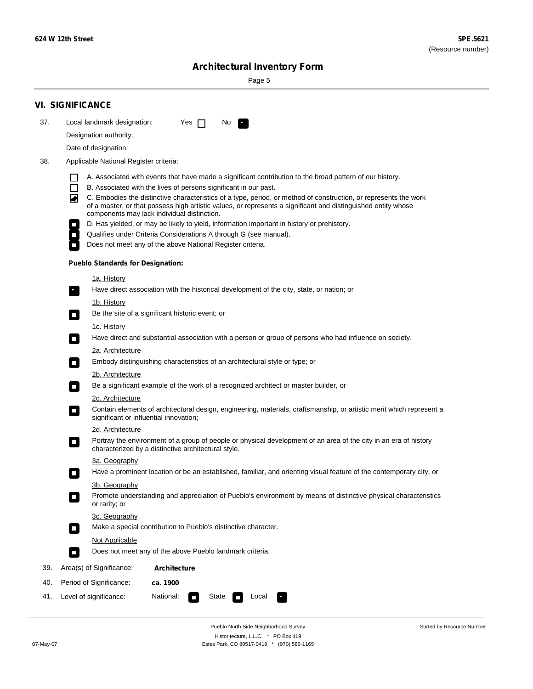۰

Sorted by Resource Number

# **Architectural Inventory Form**

Page 5

|     | <b>VI. SIGNIFICANCE</b>                                                                                                                                                                                                                                                               |  |  |  |  |
|-----|---------------------------------------------------------------------------------------------------------------------------------------------------------------------------------------------------------------------------------------------------------------------------------------|--|--|--|--|
| 37. | Local landmark designation:<br>Yes $\Box$<br>No.                                                                                                                                                                                                                                      |  |  |  |  |
|     | Designation authority:                                                                                                                                                                                                                                                                |  |  |  |  |
|     | Date of designation:                                                                                                                                                                                                                                                                  |  |  |  |  |
| 38. | Applicable National Register criteria:                                                                                                                                                                                                                                                |  |  |  |  |
|     | A. Associated with events that have made a significant contribution to the broad pattern of our history.<br>l 1<br>$\Box$<br>B. Associated with the lives of persons significant in our past.                                                                                         |  |  |  |  |
|     | C. Embodies the distinctive characteristics of a type, period, or method of construction, or represents the work<br>◙<br>of a master, or that possess high artistic values, or represents a significant and distinguished entity whose<br>components may lack individual distinction. |  |  |  |  |
|     | D. Has yielded, or may be likely to yield, information important in history or prehistory.                                                                                                                                                                                            |  |  |  |  |
|     | Qualifies under Criteria Considerations A through G (see manual).                                                                                                                                                                                                                     |  |  |  |  |
|     | Does not meet any of the above National Register criteria.                                                                                                                                                                                                                            |  |  |  |  |
|     | <b>Pueblo Standards for Designation:</b>                                                                                                                                                                                                                                              |  |  |  |  |
|     | <u>1a. History</u>                                                                                                                                                                                                                                                                    |  |  |  |  |
|     | Have direct association with the historical development of the city, state, or nation; or                                                                                                                                                                                             |  |  |  |  |
|     | 1b. History<br>Be the site of a significant historic event; or<br>$\mathcal{L}_{\mathcal{A}}$                                                                                                                                                                                         |  |  |  |  |
|     | <u>1c. History</u><br>Have direct and substantial association with a person or group of persons who had influence on society.<br>$\blacksquare$                                                                                                                                       |  |  |  |  |
|     | 2a. Architecture                                                                                                                                                                                                                                                                      |  |  |  |  |
|     | Embody distinguishing characteristics of an architectural style or type; or<br>$\overline{\phantom{a}}$                                                                                                                                                                               |  |  |  |  |
|     | <u>2b. Architecture</u>                                                                                                                                                                                                                                                               |  |  |  |  |
|     | Be a significant example of the work of a recognized architect or master builder, or<br>$\overline{\phantom{a}}$                                                                                                                                                                      |  |  |  |  |
|     | <b>2c. Architecture</b>                                                                                                                                                                                                                                                               |  |  |  |  |
|     | Contain elements of architectural design, engineering, materials, craftsmanship, or artistic merit which represent a<br>О<br>significant or influential innovation;                                                                                                                   |  |  |  |  |
|     | 2d. Architecture                                                                                                                                                                                                                                                                      |  |  |  |  |
|     | Portray the environment of a group of people or physical development of an area of the city in an era of history<br>$\Box$<br>characterized by a distinctive architectural style.                                                                                                     |  |  |  |  |
|     | 3a. Geography                                                                                                                                                                                                                                                                         |  |  |  |  |
|     | Have a prominent location or be an established, familiar, and orienting visual feature of the contemporary city, or<br>П                                                                                                                                                              |  |  |  |  |
|     | 3b. Geography<br>Promote understanding and appreciation of Pueblo's environment by means of distinctive physical characteristics                                                                                                                                                      |  |  |  |  |
|     | or rarity; or                                                                                                                                                                                                                                                                         |  |  |  |  |
|     | 3c. Geography                                                                                                                                                                                                                                                                         |  |  |  |  |
|     | Make a special contribution to Pueblo's distinctive character.<br>$\overline{\phantom{a}}$                                                                                                                                                                                            |  |  |  |  |
|     | <b>Not Applicable</b>                                                                                                                                                                                                                                                                 |  |  |  |  |
|     | Does not meet any of the above Pueblo landmark criteria.<br>$\sim$                                                                                                                                                                                                                    |  |  |  |  |
| 39. | Area(s) of Significance:<br><b>Architecture</b>                                                                                                                                                                                                                                       |  |  |  |  |
| 40. | Period of Significance:<br>ca. 1900                                                                                                                                                                                                                                                   |  |  |  |  |
| 41. | National:<br>Level of significance:<br>State<br>Local                                                                                                                                                                                                                                 |  |  |  |  |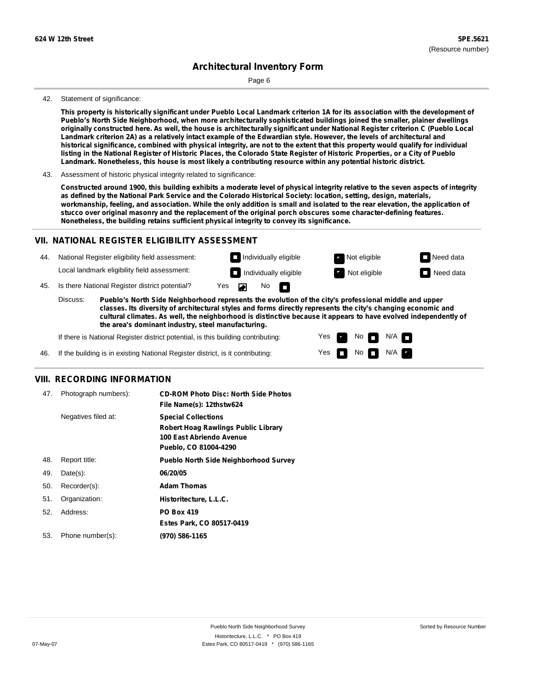Page 6

#### 42. Statement of significance:

This property is historically significant under Pueblo Local Landmark criterion 1A for its association with the development of **Pueblo's North Side Neighborhood, when more architecturally sophisticated buildings joined the smaller, plainer dwellings** originally constructed here. As well, the house is architecturally significant under National Register criterion C (Pueblo Local Landmark criterion 2A) as a relatively intact example of the Edwardian style. However, the levels of architectural and historical significance, combined with physical integrity, are not to the extent that this property would qualify for individual listing in the National Register of Historic Places, the Colorado State Register of Historic Properties, or a City of Pueblo **Landmark. Nonetheless, this house is most likely a contributing resource within any potential historic district.**

43. Assessment of historic physical integrity related to significance:

Constructed around 1900, this building exhibits a moderate level of physical integrity relative to the seven aspects of integrity as defined by the National Park Service and the Colorado Historical Society: location, setting, design, materials, workmanship, feeling, and association. While the only addition is small and isolated to the rear elevation, the application of **stucco over original masonry and the replacement of the original porch obscures some character-defining features. Nonetheless, the building retains sufficient physical integrity to convey its significance.**

#### **VII. NATIONAL REGISTER ELIGIBILITY ASSESSMENT**

National Register eligibility field assessment: 44. Local landmark eligibility field assessment:

45. Is there National Register district potential? Yes

**Pueblo's North Side Neighborhood represents the evolution of the city's professional middle and upper classes. Its diversity of architectural styles and forms directly represents the city's changing economic and cultural climates. As well, the neighborhood is distinctive because it appears to have evolved independently of the area's dominant industry, steel manufacturing.** Discuss:

 $\blacksquare$ 

 $\overline{\phantom{0}}$ 

Yes Yes No

**Individually eligible Not eligible** Not eligible **Need data Individually eligible Not eligible Not eligible Need data** 

 $No$   $N/A$ 

N/A IT

If there is National Register district potential, is this building contributing:



#### **VIII. RECORDING INFORMATION**

| 47. | Photograph numbers): | <b>CD-ROM Photo Disc: North Side Photos</b><br>File Name(s): 12thstw624                                                       |
|-----|----------------------|-------------------------------------------------------------------------------------------------------------------------------|
|     | Negatives filed at:  | <b>Special Collections</b><br><b>Robert Hoag Rawlings Public Library</b><br>100 East Abriendo Avenue<br>Pueblo, CO 81004-4290 |
| 48. | Report title:        | <b>Pueblo North Side Neighborhood Survey</b>                                                                                  |
| 49. | $Date(s)$ :          | 06/20/05                                                                                                                      |
| 50. | Recorder(s):         | <b>Adam Thomas</b>                                                                                                            |
| 51. | Organization:        | Historitecture, L.L.C.                                                                                                        |
| 52. | Address:             | <b>PO Box 419</b>                                                                                                             |
|     |                      | Estes Park, CO 80517-0419                                                                                                     |
| 53. | Phone number(s):     | (970) 586-1165                                                                                                                |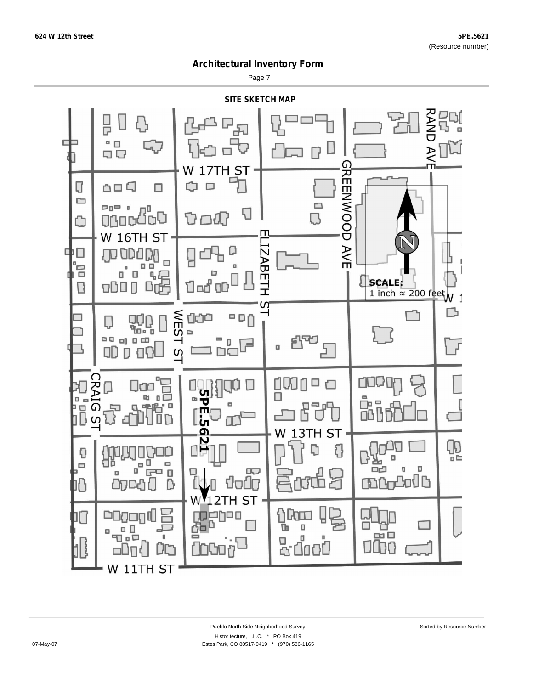Page 7